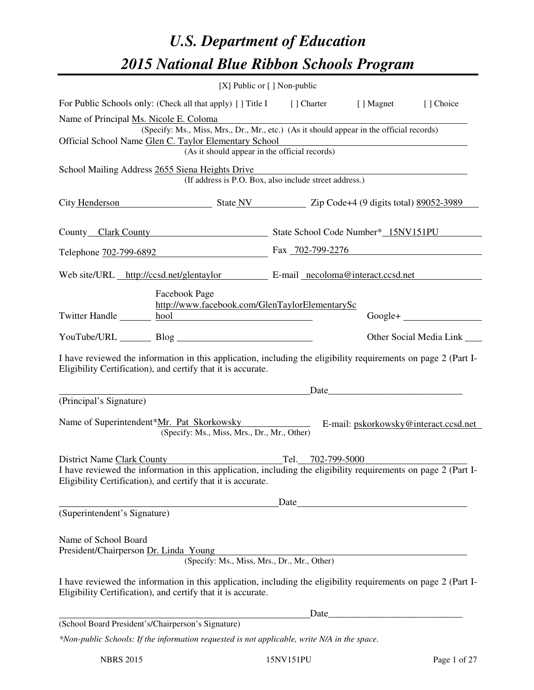# *U.S. Department of Education 2015 National Blue Ribbon Schools Program*

|                                                                                                                                                                                                                                |                                                                                                                                                                                | [X] Public or [] Non-public |      |                                |  |  |
|--------------------------------------------------------------------------------------------------------------------------------------------------------------------------------------------------------------------------------|--------------------------------------------------------------------------------------------------------------------------------------------------------------------------------|-----------------------------|------|--------------------------------|--|--|
|                                                                                                                                                                                                                                | For Public Schools only: (Check all that apply) [] Title I [] Charter [] Magnet                                                                                                |                             |      | [] Choice                      |  |  |
| Name of Principal Ms. Nicole E. Coloma                                                                                                                                                                                         | (Specify: Ms., Miss, Mrs., Dr., Mr., etc.) (As it should appear in the official records)                                                                                       |                             |      |                                |  |  |
| Official School Name Glen C. Taylor Elementary School<br><u> 1989 - Johann Barn, mars ann an t-Amhain Aonaich an t-Aonaich an t-Aonaich ann an t-Aonaich ann an t-Aonaich</u><br>(As it should appear in the official records) |                                                                                                                                                                                |                             |      |                                |  |  |
|                                                                                                                                                                                                                                |                                                                                                                                                                                |                             |      |                                |  |  |
| School Mailing Address 2655 Siena Heights Drive<br>(If address is P.O. Box, also include street address.)                                                                                                                      |                                                                                                                                                                                |                             |      |                                |  |  |
|                                                                                                                                                                                                                                | City Henderson State NV Zip Code+4 (9 digits total) 89052-3989                                                                                                                 |                             |      |                                |  |  |
|                                                                                                                                                                                                                                | County Clark County State School Code Number* 15NV151PU                                                                                                                        |                             |      |                                |  |  |
|                                                                                                                                                                                                                                | Telephone 702-799-6892 Fax 702-799-2276                                                                                                                                        |                             |      |                                |  |  |
|                                                                                                                                                                                                                                | Web site/URL http://ccsd.net/glentaylor E-mail necoloma@interact.ccsd.net                                                                                                      |                             |      |                                |  |  |
| Facebook Page<br>http://www.facebook.com/GlenTaylorElementarySc<br>Twitter Handle https://www.phob.com/2010/01/2010 http://www.phob.com/2010/01/2010                                                                           |                                                                                                                                                                                |                             |      |                                |  |  |
|                                                                                                                                                                                                                                | YouTube/URL Blog Blog                                                                                                                                                          |                             |      | Other Social Media Link ______ |  |  |
|                                                                                                                                                                                                                                | I have reviewed the information in this application, including the eligibility requirements on page 2 (Part I-<br>Eligibility Certification), and certify that it is accurate. |                             |      |                                |  |  |
|                                                                                                                                                                                                                                |                                                                                                                                                                                |                             |      |                                |  |  |
| (Principal's Signature)                                                                                                                                                                                                        |                                                                                                                                                                                |                             |      |                                |  |  |
|                                                                                                                                                                                                                                | Name of Superintendent*Mr. Pat Skorkowsky E-mail: pskorkowsky@interact.ccsd.net<br>(Specify: Ms., Miss, Mrs., Dr., Mr., Other)                                                 |                             |      |                                |  |  |
|                                                                                                                                                                                                                                | District Name Clark County                                                                                                                                                     | Tel. 702-799-5000           |      |                                |  |  |
|                                                                                                                                                                                                                                | I have reviewed the information in this application, including the eligibility requirements on page 2 (Part I-<br>Eligibility Certification), and certify that it is accurate. |                             |      |                                |  |  |
|                                                                                                                                                                                                                                |                                                                                                                                                                                |                             |      |                                |  |  |
| (Superintendent's Signature)                                                                                                                                                                                                   |                                                                                                                                                                                |                             |      |                                |  |  |
| Name of School Board<br>President/Chairperson Dr. Linda Young                                                                                                                                                                  | Toung<br>(Specify: Ms., Miss, Mrs., Dr., Mr., Other)                                                                                                                           |                             |      |                                |  |  |
|                                                                                                                                                                                                                                |                                                                                                                                                                                |                             |      |                                |  |  |
|                                                                                                                                                                                                                                | I have reviewed the information in this application, including the eligibility requirements on page 2 (Part I-<br>Eligibility Certification), and certify that it is accurate. |                             |      |                                |  |  |
|                                                                                                                                                                                                                                |                                                                                                                                                                                |                             | Date |                                |  |  |
| (School Board President's/Chairperson's Signature)                                                                                                                                                                             |                                                                                                                                                                                |                             |      |                                |  |  |
|                                                                                                                                                                                                                                | *Non-public Schools: If the information requested is not applicable, write N/A in the space.                                                                                   |                             |      |                                |  |  |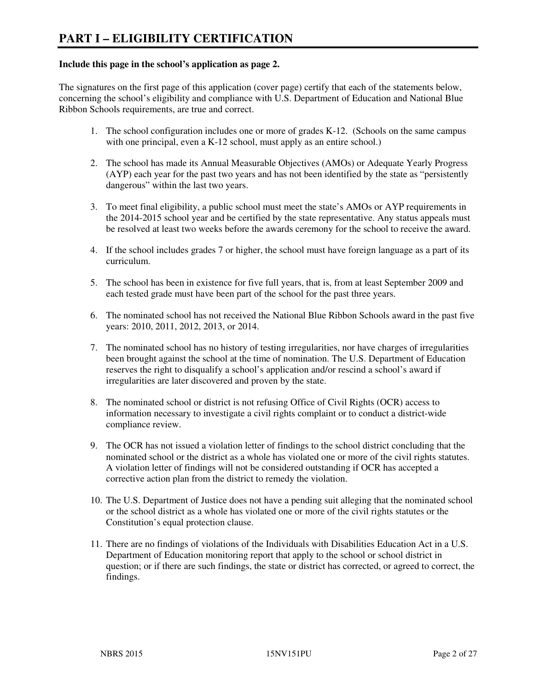#### **Include this page in the school's application as page 2.**

The signatures on the first page of this application (cover page) certify that each of the statements below, concerning the school's eligibility and compliance with U.S. Department of Education and National Blue Ribbon Schools requirements, are true and correct.

- 1. The school configuration includes one or more of grades K-12. (Schools on the same campus with one principal, even a K-12 school, must apply as an entire school.)
- 2. The school has made its Annual Measurable Objectives (AMOs) or Adequate Yearly Progress (AYP) each year for the past two years and has not been identified by the state as "persistently dangerous" within the last two years.
- 3. To meet final eligibility, a public school must meet the state's AMOs or AYP requirements in the 2014-2015 school year and be certified by the state representative. Any status appeals must be resolved at least two weeks before the awards ceremony for the school to receive the award.
- 4. If the school includes grades 7 or higher, the school must have foreign language as a part of its curriculum.
- 5. The school has been in existence for five full years, that is, from at least September 2009 and each tested grade must have been part of the school for the past three years.
- 6. The nominated school has not received the National Blue Ribbon Schools award in the past five years: 2010, 2011, 2012, 2013, or 2014.
- 7. The nominated school has no history of testing irregularities, nor have charges of irregularities been brought against the school at the time of nomination. The U.S. Department of Education reserves the right to disqualify a school's application and/or rescind a school's award if irregularities are later discovered and proven by the state.
- 8. The nominated school or district is not refusing Office of Civil Rights (OCR) access to information necessary to investigate a civil rights complaint or to conduct a district-wide compliance review.
- 9. The OCR has not issued a violation letter of findings to the school district concluding that the nominated school or the district as a whole has violated one or more of the civil rights statutes. A violation letter of findings will not be considered outstanding if OCR has accepted a corrective action plan from the district to remedy the violation.
- 10. The U.S. Department of Justice does not have a pending suit alleging that the nominated school or the school district as a whole has violated one or more of the civil rights statutes or the Constitution's equal protection clause.
- 11. There are no findings of violations of the Individuals with Disabilities Education Act in a U.S. Department of Education monitoring report that apply to the school or school district in question; or if there are such findings, the state or district has corrected, or agreed to correct, the findings.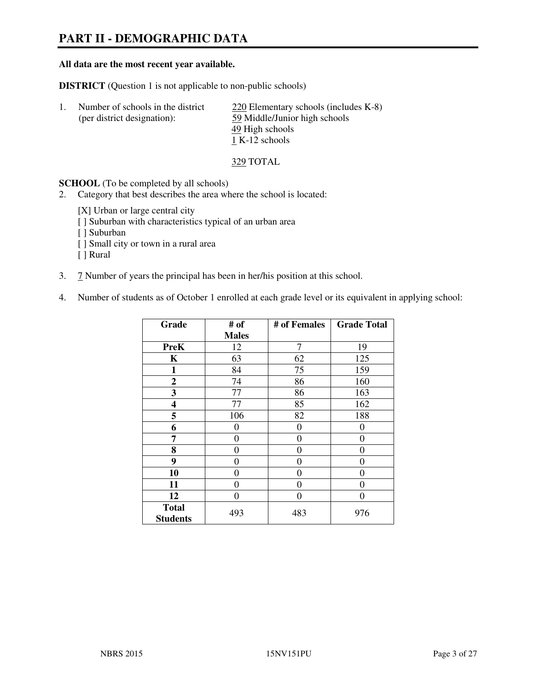# **PART II - DEMOGRAPHIC DATA**

#### **All data are the most recent year available.**

**DISTRICT** (Question 1 is not applicable to non-public schools)

| -1. | Number of schools in the district | $220$ Elementary schools (includes K-8) |
|-----|-----------------------------------|-----------------------------------------|
|     | (per district designation):       | 59 Middle/Junior high schools           |
|     |                                   | 49 High schools                         |
|     |                                   | 1 K-12 schools                          |

329 TOTAL

**SCHOOL** (To be completed by all schools)

- 2. Category that best describes the area where the school is located:
	- [X] Urban or large central city
	- [ ] Suburban with characteristics typical of an urban area
	- [ ] Suburban
	- [ ] Small city or town in a rural area
	- [ ] Rural
- 3. 7 Number of years the principal has been in her/his position at this school.
- 4. Number of students as of October 1 enrolled at each grade level or its equivalent in applying school:

| Grade                           | # of           | # of Females   | <b>Grade Total</b> |
|---------------------------------|----------------|----------------|--------------------|
|                                 | <b>Males</b>   |                |                    |
| <b>PreK</b>                     | 12             | 7              | 19                 |
| K                               | 63             | 62             | 125                |
| $\mathbf{1}$                    | 84             | 75             | 159                |
| $\mathbf{2}$                    | 74             | 86             | 160                |
| 3                               | 77             | 86             | 163                |
| 4                               | 77             | 85             | 162                |
| 5                               | 106            | 82             | 188                |
| 6                               | $\theta$       | 0              | $\theta$           |
| 7                               | $\overline{0}$ | $\overline{0}$ | 0                  |
| 8                               | $\theta$       | 0              | 0                  |
| 9                               | $\theta$       | $\theta$       | 0                  |
| 10                              | 0              | 0              | 0                  |
| 11                              | 0              | 0              | 0                  |
| 12                              | 0              | 0              | 0                  |
| <b>Total</b><br><b>Students</b> | 493            | 483            | 976                |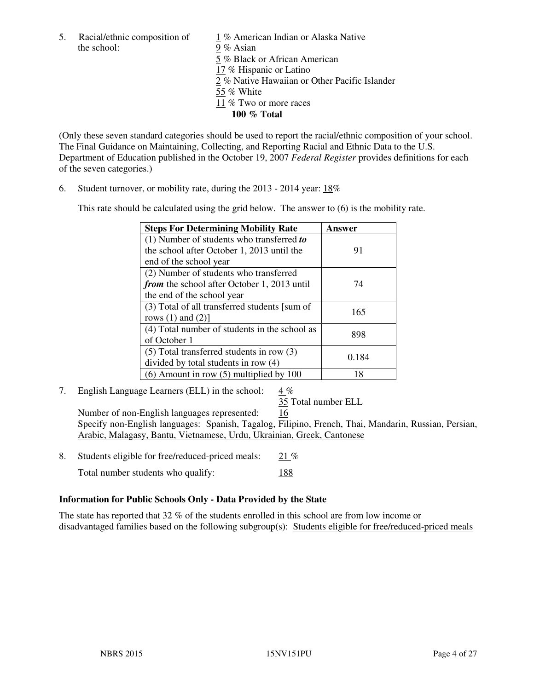the school: 9 % Asian

5. Racial/ethnic composition of 1 % American Indian or Alaska Native 5 % Black or African American 17 % Hispanic or Latino 2 % Native Hawaiian or Other Pacific Islander 55 % White 11 % Two or more races **100 % Total** 

(Only these seven standard categories should be used to report the racial/ethnic composition of your school. The Final Guidance on Maintaining, Collecting, and Reporting Racial and Ethnic Data to the U.S. Department of Education published in the October 19, 2007 *Federal Register* provides definitions for each of the seven categories.)

6. Student turnover, or mobility rate, during the 2013 - 2014 year: 18%

This rate should be calculated using the grid below. The answer to (6) is the mobility rate.

| <b>Steps For Determining Mobility Rate</b>         | Answer |  |
|----------------------------------------------------|--------|--|
| $(1)$ Number of students who transferred to        |        |  |
| the school after October 1, 2013 until the         | 91     |  |
| end of the school year                             |        |  |
| (2) Number of students who transferred             |        |  |
| <i>from</i> the school after October 1, 2013 until | 74     |  |
| the end of the school year                         |        |  |
| (3) Total of all transferred students [sum of      | 165    |  |
| rows $(1)$ and $(2)$ ]                             |        |  |
| (4) Total number of students in the school as      | 898    |  |
| of October 1                                       |        |  |
| $(5)$ Total transferred students in row $(3)$      | 0.184  |  |
| divided by total students in row (4)               |        |  |
| $(6)$ Amount in row $(5)$ multiplied by 100        | 18     |  |

7. English Language Learners (ELL) in the school: 4 %

35 Total number ELL

 Number of non-English languages represented: 16 Specify non-English languages: Spanish, Tagalog, Filipino, French, Thai, Mandarin, Russian, Persian, Arabic, Malagasy, Bantu, Vietnamese, Urdu, Ukrainian, Greek, Cantonese

- 8. Students eligible for free/reduced-priced meals: 21 %
	- Total number students who qualify: 188

#### **Information for Public Schools Only - Data Provided by the State**

The state has reported that  $32\%$  of the students enrolled in this school are from low income or disadvantaged families based on the following subgroup(s): Students eligible for free/reduced-priced meals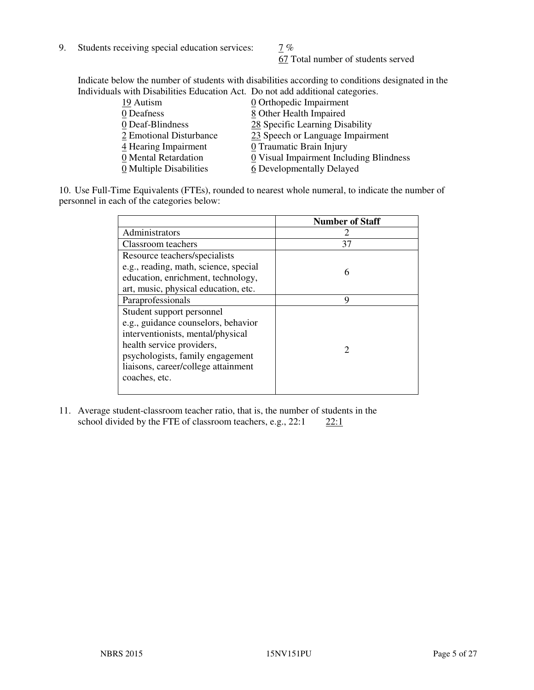9. Students receiving special education services:  $\frac{7}{6}$ 

67 Total number of students served

Indicate below the number of students with disabilities according to conditions designated in the Individuals with Disabilities Education Act. Do not add additional categories.

| 19 Autism               | $\underline{0}$ Orthopedic Impairment   |
|-------------------------|-----------------------------------------|
| 0 Deafness              | 8 Other Health Impaired                 |
| 0 Deaf-Blindness        | 28 Specific Learning Disability         |
| 2 Emotional Disturbance | 23 Speech or Language Impairment        |
| 4 Hearing Impairment    | 0 Traumatic Brain Injury                |
| 0 Mental Retardation    | 0 Visual Impairment Including Blindness |
| 0 Multiple Disabilities | 6 Developmentally Delayed               |
|                         |                                         |

10. Use Full-Time Equivalents (FTEs), rounded to nearest whole numeral, to indicate the number of personnel in each of the categories below:

|                                       | <b>Number of Staff</b>      |
|---------------------------------------|-----------------------------|
| Administrators                        |                             |
| Classroom teachers                    | 37                          |
| Resource teachers/specialists         |                             |
| e.g., reading, math, science, special | 6                           |
| education, enrichment, technology,    |                             |
| art, music, physical education, etc.  |                             |
| Paraprofessionals                     | 9                           |
| Student support personnel             |                             |
| e.g., guidance counselors, behavior   |                             |
| interventionists, mental/physical     |                             |
| health service providers,             | $\mathcal{D}_{\mathcal{L}}$ |
| psychologists, family engagement      |                             |
| liaisons, career/college attainment   |                             |
| coaches, etc.                         |                             |
|                                       |                             |

11. Average student-classroom teacher ratio, that is, the number of students in the school divided by the FTE of classroom teachers, e.g.,  $22:1$   $22:1$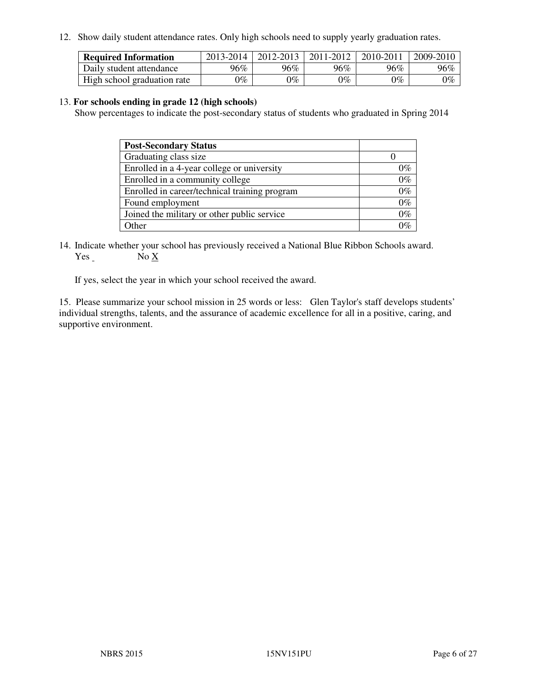12. Show daily student attendance rates. Only high schools need to supply yearly graduation rates.

| <b>Required Information</b> | 2013-2014     | 2012-2013       | 2011-2012 | 2010-2011 | 2009-2010 |
|-----------------------------|---------------|-----------------|-----------|-----------|-----------|
| Daily student attendance    | 96%           | $96\%$          | 96%       | 96%       | 96%       |
| High school graduation rate | $\gamma_{\%}$ | $\mathcal{V}_o$ | $0\%$     | 0%        | 0%        |

#### 13. **For schools ending in grade 12 (high schools)**

Show percentages to indicate the post-secondary status of students who graduated in Spring 2014

| <b>Post-Secondary Status</b>                  |       |
|-----------------------------------------------|-------|
| Graduating class size                         |       |
| Enrolled in a 4-year college or university    | 0%    |
| Enrolled in a community college               | $0\%$ |
| Enrolled in career/technical training program | $0\%$ |
| Found employment                              | $0\%$ |
| Joined the military or other public service   | $0\%$ |
| Other                                         |       |

14. Indicate whether your school has previously received a National Blue Ribbon Schools award. Yes No X

If yes, select the year in which your school received the award.

15. Please summarize your school mission in 25 words or less: Glen Taylor's staff develops students' individual strengths, talents, and the assurance of academic excellence for all in a positive, caring, and supportive environment.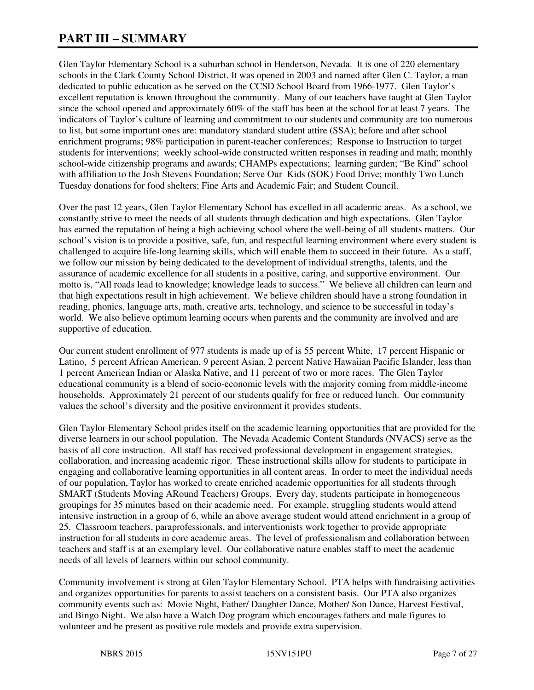# **PART III – SUMMARY**

Glen Taylor Elementary School is a suburban school in Henderson, Nevada. It is one of 220 elementary schools in the Clark County School District. It was opened in 2003 and named after Glen C. Taylor, a man dedicated to public education as he served on the CCSD School Board from 1966-1977. Glen Taylor's excellent reputation is known throughout the community. Many of our teachers have taught at Glen Taylor since the school opened and approximately 60% of the staff has been at the school for at least 7 years. The indicators of Taylor's culture of learning and commitment to our students and community are too numerous to list, but some important ones are: mandatory standard student attire (SSA); before and after school enrichment programs; 98% participation in parent-teacher conferences; Response to Instruction to target students for interventions; weekly school-wide constructed written responses in reading and math; monthly school-wide citizenship programs and awards; CHAMPs expectations; learning garden; "Be Kind" school with affiliation to the Josh Stevens Foundation; Serve Our Kids (SOK) Food Drive; monthly Two Lunch Tuesday donations for food shelters; Fine Arts and Academic Fair; and Student Council.

Over the past 12 years, Glen Taylor Elementary School has excelled in all academic areas. As a school, we constantly strive to meet the needs of all students through dedication and high expectations. Glen Taylor has earned the reputation of being a high achieving school where the well-being of all students matters. Our school's vision is to provide a positive, safe, fun, and respectful learning environment where every student is challenged to acquire life-long learning skills, which will enable them to succeed in their future. As a staff, we follow our mission by being dedicated to the development of individual strengths, talents, and the assurance of academic excellence for all students in a positive, caring, and supportive environment. Our motto is, "All roads lead to knowledge; knowledge leads to success." We believe all children can learn and that high expectations result in high achievement. We believe children should have a strong foundation in reading, phonics, language arts, math, creative arts, technology, and science to be successful in today's world. We also believe optimum learning occurs when parents and the community are involved and are supportive of education.

Our current student enrollment of 977 students is made up of is 55 percent White, 17 percent Hispanic or Latino, 5 percent African American, 9 percent Asian, 2 percent Native Hawaiian Pacific Islander, less than 1 percent American Indian or Alaska Native, and 11 percent of two or more races. The Glen Taylor educational community is a blend of socio-economic levels with the majority coming from middle-income households. Approximately 21 percent of our students qualify for free or reduced lunch. Our community values the school's diversity and the positive environment it provides students.

Glen Taylor Elementary School prides itself on the academic learning opportunities that are provided for the diverse learners in our school population. The Nevada Academic Content Standards (NVACS) serve as the basis of all core instruction. All staff has received professional development in engagement strategies, collaboration, and increasing academic rigor. These instructional skills allow for students to participate in engaging and collaborative learning opportunities in all content areas. In order to meet the individual needs of our population, Taylor has worked to create enriched academic opportunities for all students through SMART (Students Moving ARound Teachers) Groups. Every day, students participate in homogeneous groupings for 35 minutes based on their academic need. For example, struggling students would attend intensive instruction in a group of 6, while an above average student would attend enrichment in a group of 25. Classroom teachers, paraprofessionals, and interventionists work together to provide appropriate instruction for all students in core academic areas. The level of professionalism and collaboration between teachers and staff is at an exemplary level. Our collaborative nature enables staff to meet the academic needs of all levels of learners within our school community.

Community involvement is strong at Glen Taylor Elementary School. PTA helps with fundraising activities and organizes opportunities for parents to assist teachers on a consistent basis. Our PTA also organizes community events such as: Movie Night, Father/ Daughter Dance, Mother/ Son Dance, Harvest Festival, and Bingo Night. We also have a Watch Dog program which encourages fathers and male figures to volunteer and be present as positive role models and provide extra supervision.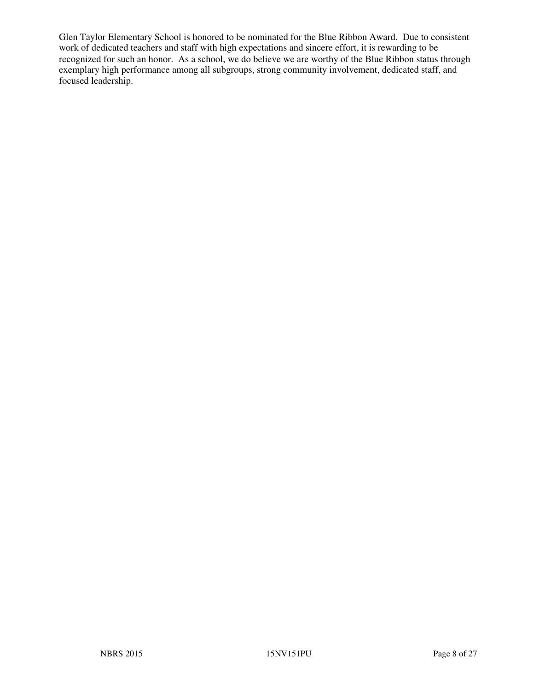Glen Taylor Elementary School is honored to be nominated for the Blue Ribbon Award. Due to consistent work of dedicated teachers and staff with high expectations and sincere effort, it is rewarding to be recognized for such an honor. As a school, we do believe we are worthy of the Blue Ribbon status through exemplary high performance among all subgroups, strong community involvement, dedicated staff, and focused leadership.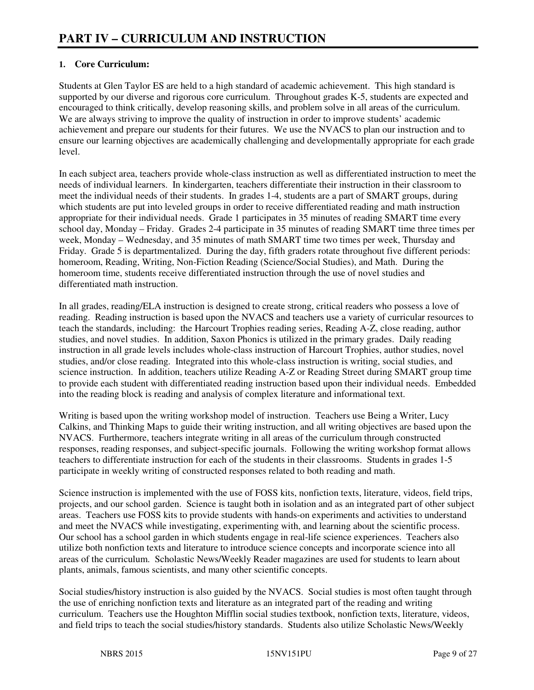## **1. Core Curriculum:**

Students at Glen Taylor ES are held to a high standard of academic achievement. This high standard is supported by our diverse and rigorous core curriculum. Throughout grades K-5, students are expected and encouraged to think critically, develop reasoning skills, and problem solve in all areas of the curriculum. We are always striving to improve the quality of instruction in order to improve students' academic achievement and prepare our students for their futures. We use the NVACS to plan our instruction and to ensure our learning objectives are academically challenging and developmentally appropriate for each grade level.

In each subject area, teachers provide whole-class instruction as well as differentiated instruction to meet the needs of individual learners. In kindergarten, teachers differentiate their instruction in their classroom to meet the individual needs of their students. In grades 1-4, students are a part of SMART groups, during which students are put into leveled groups in order to receive differentiated reading and math instruction appropriate for their individual needs. Grade 1 participates in 35 minutes of reading SMART time every school day, Monday – Friday. Grades 2-4 participate in 35 minutes of reading SMART time three times per week, Monday – Wednesday, and 35 minutes of math SMART time two times per week, Thursday and Friday. Grade 5 is departmentalized. During the day, fifth graders rotate throughout five different periods: homeroom, Reading, Writing, Non-Fiction Reading (Science/Social Studies), and Math. During the homeroom time, students receive differentiated instruction through the use of novel studies and differentiated math instruction.

In all grades, reading/ELA instruction is designed to create strong, critical readers who possess a love of reading. Reading instruction is based upon the NVACS and teachers use a variety of curricular resources to teach the standards, including: the Harcourt Trophies reading series, Reading A-Z, close reading, author studies, and novel studies. In addition, Saxon Phonics is utilized in the primary grades. Daily reading instruction in all grade levels includes whole-class instruction of Harcourt Trophies, author studies, novel studies, and/or close reading. Integrated into this whole-class instruction is writing, social studies, and science instruction. In addition, teachers utilize Reading A-Z or Reading Street during SMART group time to provide each student with differentiated reading instruction based upon their individual needs. Embedded into the reading block is reading and analysis of complex literature and informational text.

Writing is based upon the writing workshop model of instruction. Teachers use Being a Writer, Lucy Calkins, and Thinking Maps to guide their writing instruction, and all writing objectives are based upon the NVACS. Furthermore, teachers integrate writing in all areas of the curriculum through constructed responses, reading responses, and subject-specific journals. Following the writing workshop format allows teachers to differentiate instruction for each of the students in their classrooms. Students in grades 1-5 participate in weekly writing of constructed responses related to both reading and math.

Science instruction is implemented with the use of FOSS kits, nonfiction texts, literature, videos, field trips, projects, and our school garden. Science is taught both in isolation and as an integrated part of other subject areas. Teachers use FOSS kits to provide students with hands-on experiments and activities to understand and meet the NVACS while investigating, experimenting with, and learning about the scientific process. Our school has a school garden in which students engage in real-life science experiences. Teachers also utilize both nonfiction texts and literature to introduce science concepts and incorporate science into all areas of the curriculum. Scholastic News/Weekly Reader magazines are used for students to learn about plants, animals, famous scientists, and many other scientific concepts.

Social studies/history instruction is also guided by the NVACS. Social studies is most often taught through the use of enriching nonfiction texts and literature as an integrated part of the reading and writing curriculum. Teachers use the Houghton Mifflin social studies textbook, nonfiction texts, literature, videos, and field trips to teach the social studies/history standards. Students also utilize Scholastic News/Weekly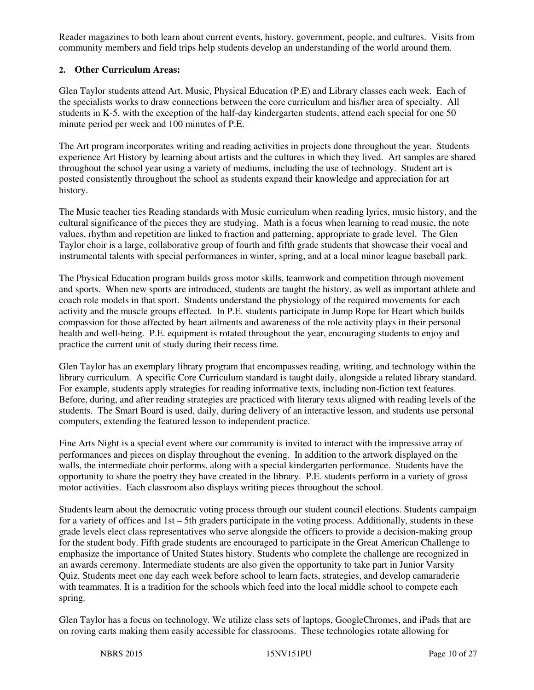Reader magazines to both learn about current events, history, government, people, and cultures. Visits from community members and field trips help students develop an understanding of the world around them.

## **2. Other Curriculum Areas:**

Glen Taylor students attend Art, Music, Physical Education (P.E) and Library classes each week. Each of the specialists works to draw connections between the core curriculum and his/her area of specialty. All students in K-5, with the exception of the half-day kindergarten students, attend each special for one 50 minute period per week and 100 minutes of P.E.

The Art program incorporates writing and reading activities in projects done throughout the year. Students experience Art History by learning about artists and the cultures in which they lived. Art samples are shared throughout the school year using a variety of mediums, including the use of technology. Student art is posted consistently throughout the school as students expand their knowledge and appreciation for art history.

The Music teacher ties Reading standards with Music curriculum when reading lyrics, music history, and the cultural significance of the pieces they are studying. Math is a focus when learning to read music, the note values, rhythm and repetition are linked to fraction and patterning, appropriate to grade level. The Glen Taylor choir is a large, collaborative group of fourth and fifth grade students that showcase their vocal and instrumental talents with special performances in winter, spring, and at a local minor league baseball park.

The Physical Education program builds gross motor skills, teamwork and competition through movement and sports. When new sports are introduced, students are taught the history, as well as important athlete and coach role models in that sport. Students understand the physiology of the required movements for each activity and the muscle groups effected. In P.E. students participate in Jump Rope for Heart which builds compassion for those affected by heart ailments and awareness of the role activity plays in their personal health and well-being. P.E. equipment is rotated throughout the year, encouraging students to enjoy and practice the current unit of study during their recess time.

Glen Taylor has an exemplary library program that encompasses reading, writing, and technology within the library curriculum. A specific Core Curriculum standard is taught daily, alongside a related library standard. For example, students apply strategies for reading informative texts, including non-fiction text features. Before, during, and after reading strategies are practiced with literary texts aligned with reading levels of the students. The Smart Board is used, daily, during delivery of an interactive lesson, and students use personal computers, extending the featured lesson to independent practice.

Fine Arts Night is a special event where our community is invited to interact with the impressive array of performances and pieces on display throughout the evening. In addition to the artwork displayed on the walls, the intermediate choir performs, along with a special kindergarten performance. Students have the opportunity to share the poetry they have created in the library. P.E. students perform in a variety of gross motor activities. Each classroom also displays writing pieces throughout the school.

Students learn about the democratic voting process through our student council elections. Students campaign for a variety of offices and 1st – 5th graders participate in the voting process. Additionally, students in these grade levels elect class representatives who serve alongside the officers to provide a decision-making group for the student body. Fifth grade students are encouraged to participate in the Great American Challenge to emphasize the importance of United States history. Students who complete the challenge are recognized in an awards ceremony. Intermediate students are also given the opportunity to take part in Junior Varsity Quiz. Students meet one day each week before school to learn facts, strategies, and develop camaraderie with teammates. It is a tradition for the schools which feed into the local middle school to compete each spring.

Glen Taylor has a focus on technology. We utilize class sets of laptops, GoogleChromes, and iPads that are on roving carts making them easily accessible for classrooms. These technologies rotate allowing for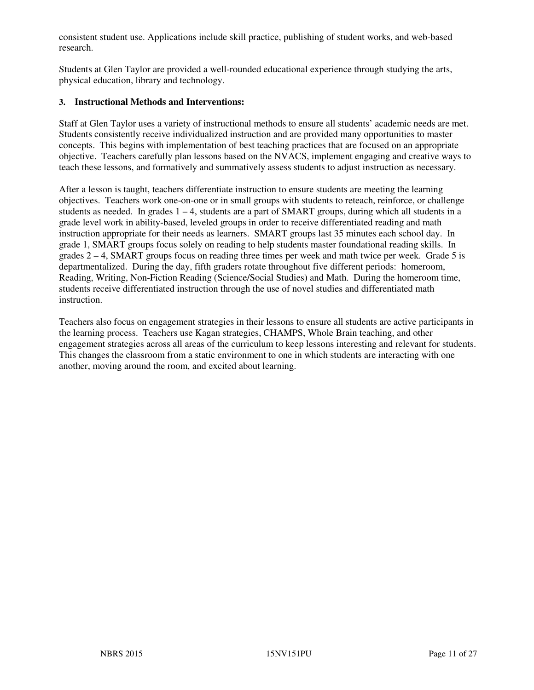consistent student use. Applications include skill practice, publishing of student works, and web-based research.

Students at Glen Taylor are provided a well-rounded educational experience through studying the arts, physical education, library and technology.

#### **3. Instructional Methods and Interventions:**

Staff at Glen Taylor uses a variety of instructional methods to ensure all students' academic needs are met. Students consistently receive individualized instruction and are provided many opportunities to master concepts. This begins with implementation of best teaching practices that are focused on an appropriate objective. Teachers carefully plan lessons based on the NVACS, implement engaging and creative ways to teach these lessons, and formatively and summatively assess students to adjust instruction as necessary.

After a lesson is taught, teachers differentiate instruction to ensure students are meeting the learning objectives. Teachers work one-on-one or in small groups with students to reteach, reinforce, or challenge students as needed. In grades  $1 - 4$ , students are a part of SMART groups, during which all students in a grade level work in ability-based, leveled groups in order to receive differentiated reading and math instruction appropriate for their needs as learners. SMART groups last 35 minutes each school day. In grade 1, SMART groups focus solely on reading to help students master foundational reading skills. In grades  $2 - 4$ , SMART groups focus on reading three times per week and math twice per week. Grade 5 is departmentalized. During the day, fifth graders rotate throughout five different periods: homeroom, Reading, Writing, Non-Fiction Reading (Science/Social Studies) and Math. During the homeroom time, students receive differentiated instruction through the use of novel studies and differentiated math instruction.

Teachers also focus on engagement strategies in their lessons to ensure all students are active participants in the learning process. Teachers use Kagan strategies, CHAMPS, Whole Brain teaching, and other engagement strategies across all areas of the curriculum to keep lessons interesting and relevant for students. This changes the classroom from a static environment to one in which students are interacting with one another, moving around the room, and excited about learning.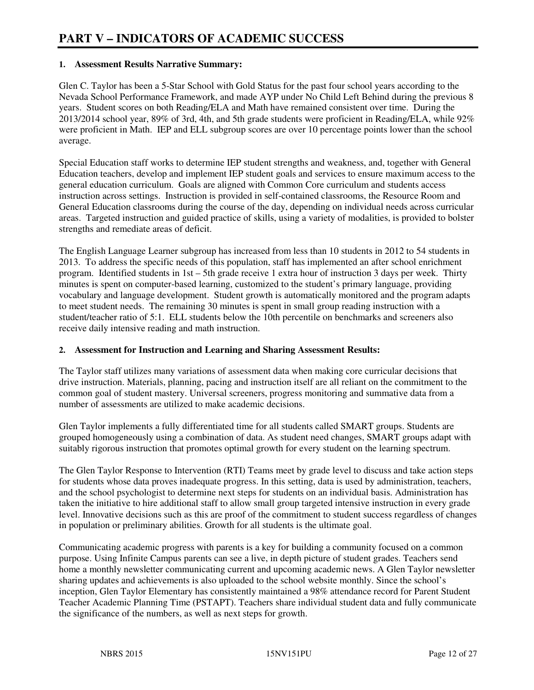#### **1. Assessment Results Narrative Summary:**

Glen C. Taylor has been a 5-Star School with Gold Status for the past four school years according to the Nevada School Performance Framework, and made AYP under No Child Left Behind during the previous 8 years. Student scores on both Reading/ELA and Math have remained consistent over time. During the 2013/2014 school year, 89% of 3rd, 4th, and 5th grade students were proficient in Reading/ELA, while 92% were proficient in Math. IEP and ELL subgroup scores are over 10 percentage points lower than the school average.

Special Education staff works to determine IEP student strengths and weakness, and, together with General Education teachers, develop and implement IEP student goals and services to ensure maximum access to the general education curriculum. Goals are aligned with Common Core curriculum and students access instruction across settings. Instruction is provided in self-contained classrooms, the Resource Room and General Education classrooms during the course of the day, depending on individual needs across curricular areas. Targeted instruction and guided practice of skills, using a variety of modalities, is provided to bolster strengths and remediate areas of deficit.

The English Language Learner subgroup has increased from less than 10 students in 2012 to 54 students in 2013. To address the specific needs of this population, staff has implemented an after school enrichment program. Identified students in 1st – 5th grade receive 1 extra hour of instruction 3 days per week. Thirty minutes is spent on computer-based learning, customized to the student's primary language, providing vocabulary and language development. Student growth is automatically monitored and the program adapts to meet student needs. The remaining 30 minutes is spent in small group reading instruction with a student/teacher ratio of 5:1. ELL students below the 10th percentile on benchmarks and screeners also receive daily intensive reading and math instruction.

#### **2. Assessment for Instruction and Learning and Sharing Assessment Results:**

The Taylor staff utilizes many variations of assessment data when making core curricular decisions that drive instruction. Materials, planning, pacing and instruction itself are all reliant on the commitment to the common goal of student mastery. Universal screeners, progress monitoring and summative data from a number of assessments are utilized to make academic decisions.

Glen Taylor implements a fully differentiated time for all students called SMART groups. Students are grouped homogeneously using a combination of data. As student need changes, SMART groups adapt with suitably rigorous instruction that promotes optimal growth for every student on the learning spectrum.

The Glen Taylor Response to Intervention (RTI) Teams meet by grade level to discuss and take action steps for students whose data proves inadequate progress. In this setting, data is used by administration, teachers, and the school psychologist to determine next steps for students on an individual basis. Administration has taken the initiative to hire additional staff to allow small group targeted intensive instruction in every grade level. Innovative decisions such as this are proof of the commitment to student success regardless of changes in population or preliminary abilities. Growth for all students is the ultimate goal.

Communicating academic progress with parents is a key for building a community focused on a common purpose. Using Infinite Campus parents can see a live, in depth picture of student grades. Teachers send home a monthly newsletter communicating current and upcoming academic news. A Glen Taylor newsletter sharing updates and achievements is also uploaded to the school website monthly. Since the school's inception, Glen Taylor Elementary has consistently maintained a 98% attendance record for Parent Student Teacher Academic Planning Time (PSTAPT). Teachers share individual student data and fully communicate the significance of the numbers, as well as next steps for growth.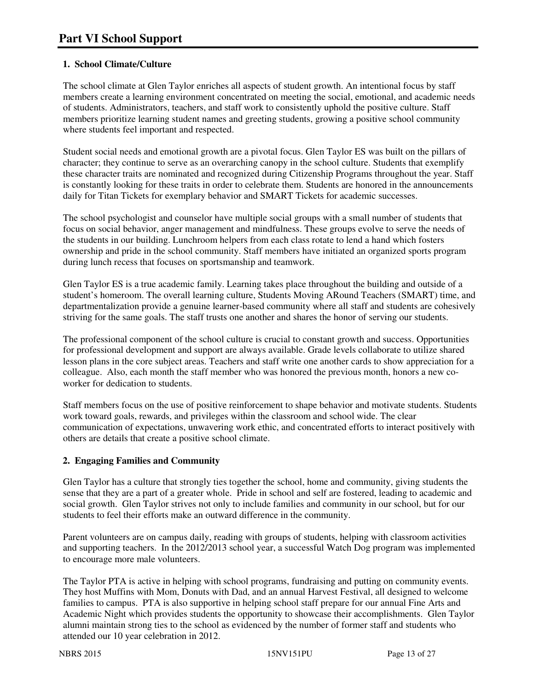## **1. School Climate/Culture**

The school climate at Glen Taylor enriches all aspects of student growth. An intentional focus by staff members create a learning environment concentrated on meeting the social, emotional, and academic needs of students. Administrators, teachers, and staff work to consistently uphold the positive culture. Staff members prioritize learning student names and greeting students, growing a positive school community where students feel important and respected.

Student social needs and emotional growth are a pivotal focus. Glen Taylor ES was built on the pillars of character; they continue to serve as an overarching canopy in the school culture. Students that exemplify these character traits are nominated and recognized during Citizenship Programs throughout the year. Staff is constantly looking for these traits in order to celebrate them. Students are honored in the announcements daily for Titan Tickets for exemplary behavior and SMART Tickets for academic successes.

The school psychologist and counselor have multiple social groups with a small number of students that focus on social behavior, anger management and mindfulness. These groups evolve to serve the needs of the students in our building. Lunchroom helpers from each class rotate to lend a hand which fosters ownership and pride in the school community. Staff members have initiated an organized sports program during lunch recess that focuses on sportsmanship and teamwork.

Glen Taylor ES is a true academic family. Learning takes place throughout the building and outside of a student's homeroom. The overall learning culture, Students Moving ARound Teachers (SMART) time, and departmentalization provide a genuine learner-based community where all staff and students are cohesively striving for the same goals. The staff trusts one another and shares the honor of serving our students.

The professional component of the school culture is crucial to constant growth and success. Opportunities for professional development and support are always available. Grade levels collaborate to utilize shared lesson plans in the core subject areas. Teachers and staff write one another cards to show appreciation for a colleague. Also, each month the staff member who was honored the previous month, honors a new coworker for dedication to students.

Staff members focus on the use of positive reinforcement to shape behavior and motivate students. Students work toward goals, rewards, and privileges within the classroom and school wide. The clear communication of expectations, unwavering work ethic, and concentrated efforts to interact positively with others are details that create a positive school climate.

## **2. Engaging Families and Community**

Glen Taylor has a culture that strongly ties together the school, home and community, giving students the sense that they are a part of a greater whole. Pride in school and self are fostered, leading to academic and social growth. Glen Taylor strives not only to include families and community in our school, but for our students to feel their efforts make an outward difference in the community.

Parent volunteers are on campus daily, reading with groups of students, helping with classroom activities and supporting teachers. In the 2012/2013 school year, a successful Watch Dog program was implemented to encourage more male volunteers.

The Taylor PTA is active in helping with school programs, fundraising and putting on community events. They host Muffins with Mom, Donuts with Dad, and an annual Harvest Festival, all designed to welcome families to campus. PTA is also supportive in helping school staff prepare for our annual Fine Arts and Academic Night which provides students the opportunity to showcase their accomplishments. Glen Taylor alumni maintain strong ties to the school as evidenced by the number of former staff and students who attended our 10 year celebration in 2012.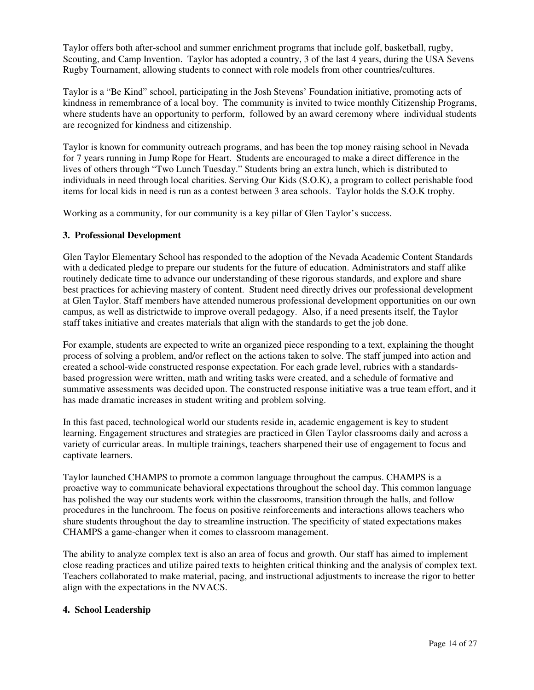Taylor offers both after-school and summer enrichment programs that include golf, basketball, rugby, Scouting, and Camp Invention. Taylor has adopted a country, 3 of the last 4 years, during the USA Sevens Rugby Tournament, allowing students to connect with role models from other countries/cultures.

Taylor is a "Be Kind" school, participating in the Josh Stevens' Foundation initiative, promoting acts of kindness in remembrance of a local boy. The community is invited to twice monthly Citizenship Programs, where students have an opportunity to perform, followed by an award ceremony where individual students are recognized for kindness and citizenship.

Taylor is known for community outreach programs, and has been the top money raising school in Nevada for 7 years running in Jump Rope for Heart. Students are encouraged to make a direct difference in the lives of others through "Two Lunch Tuesday." Students bring an extra lunch, which is distributed to individuals in need through local charities. Serving Our Kids (S.O.K), a program to collect perishable food items for local kids in need is run as a contest between 3 area schools. Taylor holds the S.O.K trophy.

Working as a community, for our community is a key pillar of Glen Taylor's success.

#### **3. Professional Development**

Glen Taylor Elementary School has responded to the adoption of the Nevada Academic Content Standards with a dedicated pledge to prepare our students for the future of education. Administrators and staff alike routinely dedicate time to advance our understanding of these rigorous standards, and explore and share best practices for achieving mastery of content. Student need directly drives our professional development at Glen Taylor. Staff members have attended numerous professional development opportunities on our own campus, as well as districtwide to improve overall pedagogy. Also, if a need presents itself, the Taylor staff takes initiative and creates materials that align with the standards to get the job done.

For example, students are expected to write an organized piece responding to a text, explaining the thought process of solving a problem, and/or reflect on the actions taken to solve. The staff jumped into action and created a school-wide constructed response expectation. For each grade level, rubrics with a standardsbased progression were written, math and writing tasks were created, and a schedule of formative and summative assessments was decided upon. The constructed response initiative was a true team effort, and it has made dramatic increases in student writing and problem solving.

In this fast paced, technological world our students reside in, academic engagement is key to student learning. Engagement structures and strategies are practiced in Glen Taylor classrooms daily and across a variety of curricular areas. In multiple trainings, teachers sharpened their use of engagement to focus and captivate learners.

Taylor launched CHAMPS to promote a common language throughout the campus. CHAMPS is a proactive way to communicate behavioral expectations throughout the school day. This common language has polished the way our students work within the classrooms, transition through the halls, and follow procedures in the lunchroom. The focus on positive reinforcements and interactions allows teachers who share students throughout the day to streamline instruction. The specificity of stated expectations makes CHAMPS a game-changer when it comes to classroom management.

The ability to analyze complex text is also an area of focus and growth. Our staff has aimed to implement close reading practices and utilize paired texts to heighten critical thinking and the analysis of complex text. Teachers collaborated to make material, pacing, and instructional adjustments to increase the rigor to better align with the expectations in the NVACS.

#### **4. School Leadership**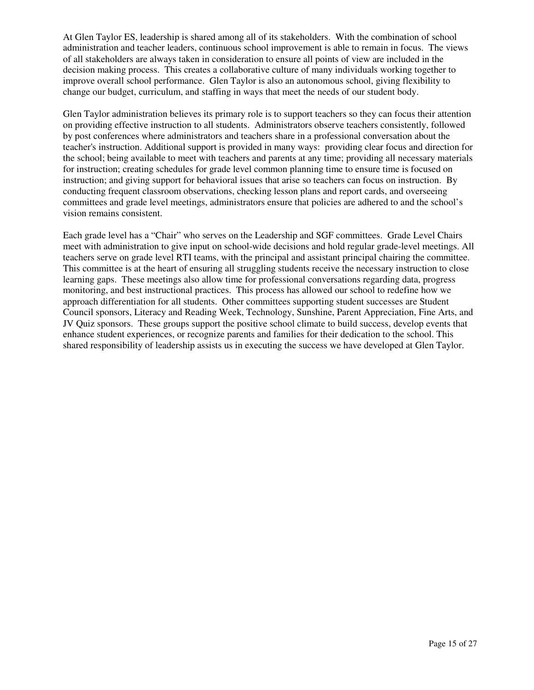At Glen Taylor ES, leadership is shared among all of its stakeholders. With the combination of school administration and teacher leaders, continuous school improvement is able to remain in focus. The views of all stakeholders are always taken in consideration to ensure all points of view are included in the decision making process. This creates a collaborative culture of many individuals working together to improve overall school performance. Glen Taylor is also an autonomous school, giving flexibility to change our budget, curriculum, and staffing in ways that meet the needs of our student body.

Glen Taylor administration believes its primary role is to support teachers so they can focus their attention on providing effective instruction to all students. Administrators observe teachers consistently, followed by post conferences where administrators and teachers share in a professional conversation about the teacher's instruction. Additional support is provided in many ways: providing clear focus and direction for the school; being available to meet with teachers and parents at any time; providing all necessary materials for instruction; creating schedules for grade level common planning time to ensure time is focused on instruction; and giving support for behavioral issues that arise so teachers can focus on instruction. By conducting frequent classroom observations, checking lesson plans and report cards, and overseeing committees and grade level meetings, administrators ensure that policies are adhered to and the school's vision remains consistent.

Each grade level has a "Chair" who serves on the Leadership and SGF committees. Grade Level Chairs meet with administration to give input on school-wide decisions and hold regular grade-level meetings. All teachers serve on grade level RTI teams, with the principal and assistant principal chairing the committee. This committee is at the heart of ensuring all struggling students receive the necessary instruction to close learning gaps. These meetings also allow time for professional conversations regarding data, progress monitoring, and best instructional practices. This process has allowed our school to redefine how we approach differentiation for all students. Other committees supporting student successes are Student Council sponsors, Literacy and Reading Week, Technology, Sunshine, Parent Appreciation, Fine Arts, and JV Quiz sponsors. These groups support the positive school climate to build success, develop events that enhance student experiences, or recognize parents and families for their dedication to the school. This shared responsibility of leadership assists us in executing the success we have developed at Glen Taylor.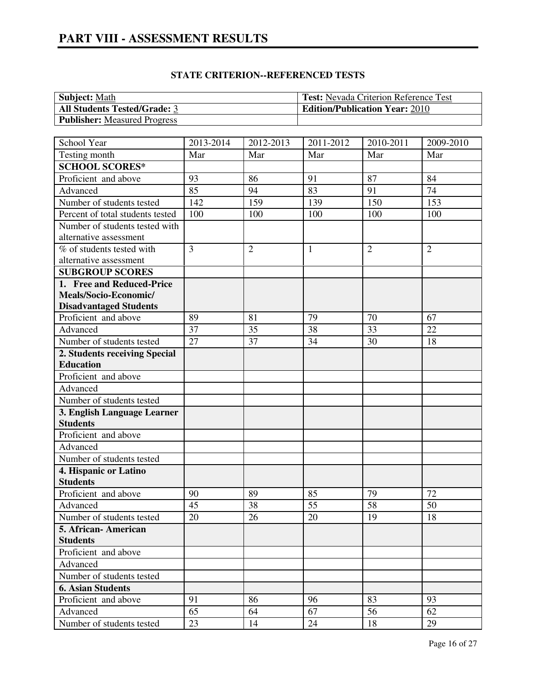# **PART VIII - ASSESSMENT RESULTS**

| <b>Subject:</b> Math                | <b>Test:</b> Nevada Criterion Reference Test |
|-------------------------------------|----------------------------------------------|
| <b>All Students Tested/Grade: 3</b> | <b>Edition/Publication Year: 2010</b>        |
| <b>Publisher:</b> Measured Progress |                                              |

| School Year                      | 2013-2014      | 2012-2013      | 2011-2012    | 2010-2011      | 2009-2010      |
|----------------------------------|----------------|----------------|--------------|----------------|----------------|
| Testing month                    | Mar            | Mar            | Mar          | Mar            | Mar            |
| <b>SCHOOL SCORES*</b>            |                |                |              |                |                |
| Proficient and above             | 93             | 86             | 91           | 87             | 84             |
| Advanced                         | 85             | 94             | 83           | 91             | 74             |
| Number of students tested        | 142            | 159            | 139          | 150            | 153            |
| Percent of total students tested | 100            | 100            | 100          | 100            | 100            |
| Number of students tested with   |                |                |              |                |                |
| alternative assessment           |                |                |              |                |                |
| % of students tested with        | $\overline{3}$ | $\overline{2}$ | $\mathbf{1}$ | $\overline{2}$ | $\overline{2}$ |
| alternative assessment           |                |                |              |                |                |
| <b>SUBGROUP SCORES</b>           |                |                |              |                |                |
| 1. Free and Reduced-Price        |                |                |              |                |                |
| Meals/Socio-Economic/            |                |                |              |                |                |
| <b>Disadvantaged Students</b>    |                |                |              |                |                |
| Proficient and above             | 89             | 81             | 79           | 70             | 67             |
| Advanced                         | 37             | 35             | 38           | 33             | 22             |
| Number of students tested        | 27             | 37             | 34           | 30             | 18             |
| 2. Students receiving Special    |                |                |              |                |                |
| <b>Education</b>                 |                |                |              |                |                |
| Proficient and above             |                |                |              |                |                |
| Advanced                         |                |                |              |                |                |
| Number of students tested        |                |                |              |                |                |
| 3. English Language Learner      |                |                |              |                |                |
| <b>Students</b>                  |                |                |              |                |                |
| Proficient and above             |                |                |              |                |                |
| Advanced                         |                |                |              |                |                |
| Number of students tested        |                |                |              |                |                |
| 4. Hispanic or Latino            |                |                |              |                |                |
| <b>Students</b>                  |                |                |              |                |                |
| Proficient and above             | 90             | 89             | 85           | 79             | 72             |
| Advanced                         | 45             | 38             | 55           | 58             | 50             |
| Number of students tested        | 20             | 26             | 20           | 19             | 18             |
| 5. African-American              |                |                |              |                |                |
| <b>Students</b>                  |                |                |              |                |                |
| Proficient and above             |                |                |              |                |                |
| Advanced                         |                |                |              |                |                |
| Number of students tested        |                |                |              |                |                |
| <b>6. Asian Students</b>         |                |                |              |                |                |
| Proficient and above             | 91             | 86             | 96           | 83             | 93             |
| Advanced                         | 65             | 64             | 67           | 56             | 62             |
| Number of students tested        | 23             | 14             | 24           | 18             | 29             |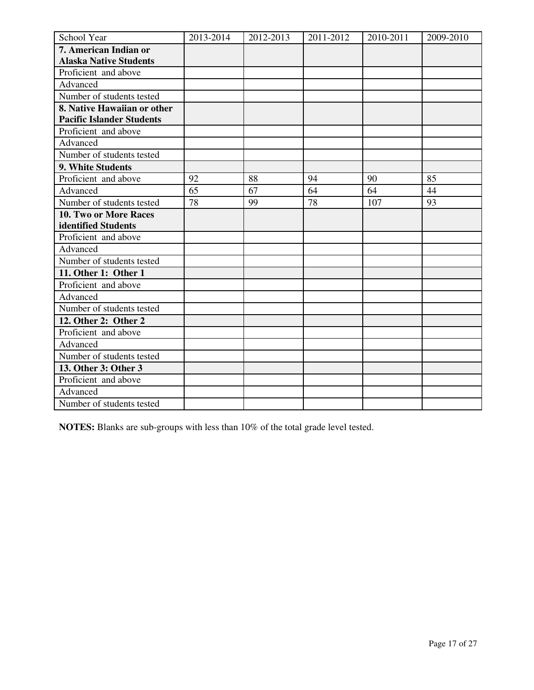| School Year                      | 2013-2014 | 2012-2013 | 2011-2012 | 2010-2011 | 2009-2010 |
|----------------------------------|-----------|-----------|-----------|-----------|-----------|
| 7. American Indian or            |           |           |           |           |           |
| <b>Alaska Native Students</b>    |           |           |           |           |           |
| Proficient and above             |           |           |           |           |           |
| Advanced                         |           |           |           |           |           |
| Number of students tested        |           |           |           |           |           |
| 8. Native Hawaiian or other      |           |           |           |           |           |
| <b>Pacific Islander Students</b> |           |           |           |           |           |
| Proficient and above             |           |           |           |           |           |
| Advanced                         |           |           |           |           |           |
| Number of students tested        |           |           |           |           |           |
| 9. White Students                |           |           |           |           |           |
| Proficient and above             | 92        | 88        | 94        | 90        | 85        |
| Advanced                         | 65        | 67        | 64        | 64        | 44        |
| Number of students tested        | 78        | 99        | 78        | 107       | 93        |
| 10. Two or More Races            |           |           |           |           |           |
| identified Students              |           |           |           |           |           |
| Proficient and above             |           |           |           |           |           |
| Advanced                         |           |           |           |           |           |
| Number of students tested        |           |           |           |           |           |
| 11. Other 1: Other 1             |           |           |           |           |           |
| Proficient and above             |           |           |           |           |           |
| Advanced                         |           |           |           |           |           |
| Number of students tested        |           |           |           |           |           |
| 12. Other 2: Other 2             |           |           |           |           |           |
| Proficient and above             |           |           |           |           |           |
| Advanced                         |           |           |           |           |           |
| Number of students tested        |           |           |           |           |           |
| 13. Other 3: Other 3             |           |           |           |           |           |
| Proficient and above             |           |           |           |           |           |
| Advanced                         |           |           |           |           |           |
| Number of students tested        |           |           |           |           |           |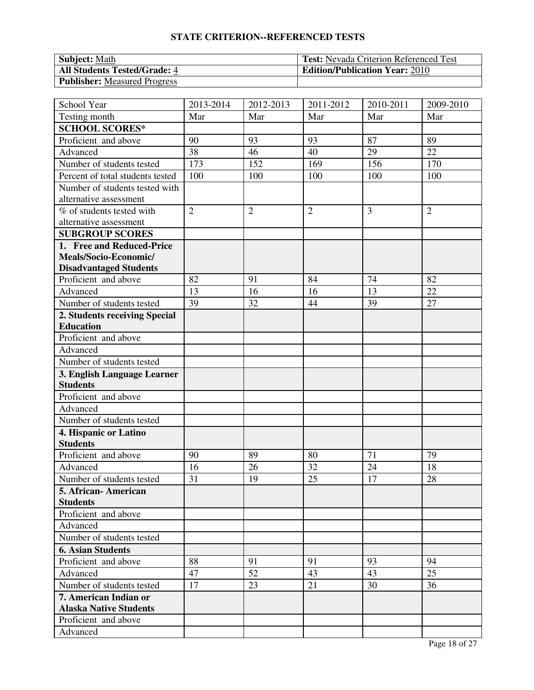| <b>Subject:</b> Math                | <b>Test:</b> Nevada Criterion Referenced Test |
|-------------------------------------|-----------------------------------------------|
| <b>All Students Tested/Grade: 4</b> | <b>Edition/Publication Year: 2010</b>         |
| <b>Publisher:</b> Measured Progress |                                               |

| School Year                      | 2013-2014      | 2012-2013      | 2011-2012      | 2010-2011      | 2009-2010      |
|----------------------------------|----------------|----------------|----------------|----------------|----------------|
| Testing month                    | Mar            | Mar            | Mar            | Mar            | Mar            |
| <b>SCHOOL SCORES*</b>            |                |                |                |                |                |
| Proficient and above             | 90             | 93             | 93             | 87             | 89             |
| Advanced                         | 38             | 46             | 40             | 29             | 22             |
| Number of students tested        | 173            | 152            | 169            | 156            | 170            |
| Percent of total students tested | 100            | 100            | 100            | 100            | 100            |
| Number of students tested with   |                |                |                |                |                |
| alternative assessment           |                |                |                |                |                |
| % of students tested with        | $\overline{2}$ | $\overline{2}$ | $\overline{2}$ | $\overline{3}$ | $\overline{2}$ |
| alternative assessment           |                |                |                |                |                |
| <b>SUBGROUP SCORES</b>           |                |                |                |                |                |
| 1. Free and Reduced-Price        |                |                |                |                |                |
| Meals/Socio-Economic/            |                |                |                |                |                |
| <b>Disadvantaged Students</b>    |                |                |                |                |                |
| Proficient and above             | 82             | 91             | 84             | 74             | 82             |
| Advanced                         | 13             | 16             | 16             | 13             | 22             |
| Number of students tested        | 39             | 32             | 44             | 39             | 27             |
| 2. Students receiving Special    |                |                |                |                |                |
| <b>Education</b>                 |                |                |                |                |                |
| Proficient and above             |                |                |                |                |                |
| Advanced                         |                |                |                |                |                |
| Number of students tested        |                |                |                |                |                |
| 3. English Language Learner      |                |                |                |                |                |
| <b>Students</b>                  |                |                |                |                |                |
| Proficient and above             |                |                |                |                |                |
| Advanced                         |                |                |                |                |                |
| Number of students tested        |                |                |                |                |                |
| 4. Hispanic or Latino            |                |                |                |                |                |
| <b>Students</b>                  |                |                |                |                |                |
| Proficient and above             | 90             | 89             | 80             | 71             | 79             |
| Advanced                         | 16             | 26             | 32             | 24             | 18             |
| Number of students tested        | 31             | 19             | 25             | 17             | 28             |
| 5. African- American             |                |                |                |                |                |
| <b>Students</b>                  |                |                |                |                |                |
| Proficient and above             |                |                |                |                |                |
| Advanced                         |                |                |                |                |                |
| Number of students tested        |                |                |                |                |                |
| <b>6. Asian Students</b>         |                |                |                |                |                |
| Proficient and above             | 88             | 91             | 91             | 93             | 94             |
| Advanced                         | 47             | 52             | 43             | 43             | 25             |
| Number of students tested        | 17             | 23             | 21             | 30             | 36             |
| 7. American Indian or            |                |                |                |                |                |
| <b>Alaska Native Students</b>    |                |                |                |                |                |
| Proficient and above             |                |                |                |                |                |
| Advanced                         |                |                |                |                |                |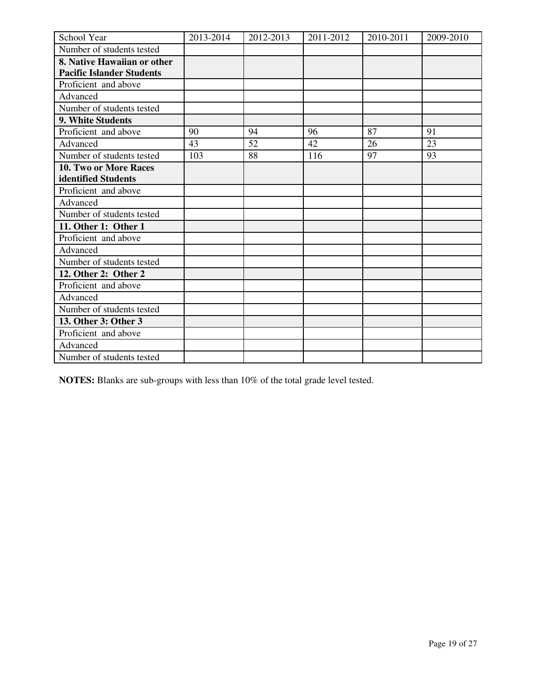| School Year                      | 2013-2014 | 2012-2013 | 2011-2012 | 2010-2011 | 2009-2010 |
|----------------------------------|-----------|-----------|-----------|-----------|-----------|
| Number of students tested        |           |           |           |           |           |
| 8. Native Hawaiian or other      |           |           |           |           |           |
| <b>Pacific Islander Students</b> |           |           |           |           |           |
| Proficient and above             |           |           |           |           |           |
| Advanced                         |           |           |           |           |           |
| Number of students tested        |           |           |           |           |           |
| 9. White Students                |           |           |           |           |           |
| Proficient and above             | 90        | 94        | 96        | 87        | 91        |
| Advanced                         | 43        | 52        | 42        | 26        | 23        |
| Number of students tested        | 103       | 88        | 116       | 97        | 93        |
| <b>10. Two or More Races</b>     |           |           |           |           |           |
| identified Students              |           |           |           |           |           |
| Proficient and above             |           |           |           |           |           |
| Advanced                         |           |           |           |           |           |
| Number of students tested        |           |           |           |           |           |
| 11. Other 1: Other 1             |           |           |           |           |           |
| Proficient and above             |           |           |           |           |           |
| Advanced                         |           |           |           |           |           |
| Number of students tested        |           |           |           |           |           |
| 12. Other 2: Other 2             |           |           |           |           |           |
| Proficient and above             |           |           |           |           |           |
| Advanced                         |           |           |           |           |           |
| Number of students tested        |           |           |           |           |           |
| 13. Other 3: Other 3             |           |           |           |           |           |
| Proficient and above             |           |           |           |           |           |
| Advanced                         |           |           |           |           |           |
| Number of students tested        |           |           |           |           |           |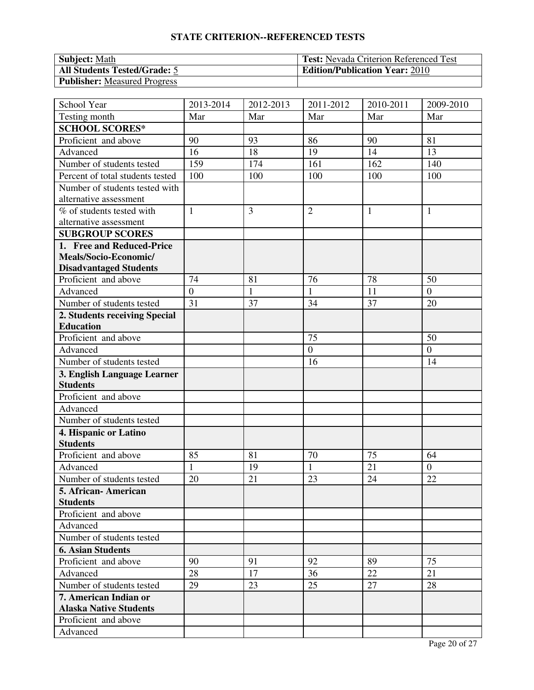| <b>Subject:</b> Math                | <b>Test:</b> Nevada Criterion Referenced Test |
|-------------------------------------|-----------------------------------------------|
| <b>All Students Tested/Grade: 5</b> | <b>Edition/Publication Year: 2010</b>         |
| <b>Publisher:</b> Measured Progress |                                               |

| School Year                      | 2013-2014       | 2012-2013    | 2011-2012        | 2010-2011    | 2009-2010      |
|----------------------------------|-----------------|--------------|------------------|--------------|----------------|
| Testing month                    | Mar             | Mar          | Mar              | Mar          | Mar            |
| <b>SCHOOL SCORES*</b>            |                 |              |                  |              |                |
| Proficient and above             | 90              | 93           | 86               | 90           | 81             |
| Advanced                         | 16              | 18           | 19               | 14           | 13             |
| Number of students tested        | 159             | 174          | 161              | 162          | 140            |
| Percent of total students tested | 100             | 100          | 100              | 100          | 100            |
| Number of students tested with   |                 |              |                  |              |                |
| alternative assessment           |                 |              |                  |              |                |
| % of students tested with        | $\mathbf{1}$    | 3            | $\overline{2}$   | $\mathbf{1}$ | $\mathbf{1}$   |
| alternative assessment           |                 |              |                  |              |                |
| <b>SUBGROUP SCORES</b>           |                 |              |                  |              |                |
| 1. Free and Reduced-Price        |                 |              |                  |              |                |
| Meals/Socio-Economic/            |                 |              |                  |              |                |
| <b>Disadvantaged Students</b>    |                 |              |                  |              |                |
| Proficient and above             | 74              | 81           | 76               | 78           | 50             |
| Advanced                         | $\overline{0}$  | $\mathbf{1}$ | $\mathbf{1}$     | 11           | $\overline{0}$ |
| Number of students tested        | $\overline{31}$ | 37           | 34               | 37           | 20             |
| 2. Students receiving Special    |                 |              |                  |              |                |
| <b>Education</b>                 |                 |              |                  |              |                |
| Proficient and above             |                 |              | 75               |              | 50             |
| Advanced                         |                 |              | $\boldsymbol{0}$ |              | $\mathbf{0}$   |
| Number of students tested        |                 |              | 16               |              | 14             |
| 3. English Language Learner      |                 |              |                  |              |                |
| <b>Students</b>                  |                 |              |                  |              |                |
| Proficient and above             |                 |              |                  |              |                |
| Advanced                         |                 |              |                  |              |                |
| Number of students tested        |                 |              |                  |              |                |
| 4. Hispanic or Latino            |                 |              |                  |              |                |
| <b>Students</b>                  |                 |              |                  |              |                |
| Proficient and above             | 85              | 81           | 70               | 75           | 64             |
| Advanced                         | $\mathbf{1}$    | 19           |                  | 21           | $\overline{0}$ |
| Number of students tested        | 20              | 21           | 23               | 24           | 22             |
| 5. African- American             |                 |              |                  |              |                |
| <b>Students</b>                  |                 |              |                  |              |                |
| Proficient and above             |                 |              |                  |              |                |
| Advanced                         |                 |              |                  |              |                |
| Number of students tested        |                 |              |                  |              |                |
| <b>6. Asian Students</b>         |                 |              |                  |              |                |
| Proficient and above             | 90              | 91           | 92               | 89           | 75             |
| Advanced                         | 28              | 17           | 36               | 22           | 21             |
| Number of students tested        | 29              | 23           | 25               | 27           | 28             |
| 7. American Indian or            |                 |              |                  |              |                |
| <b>Alaska Native Students</b>    |                 |              |                  |              |                |
| Proficient and above             |                 |              |                  |              |                |
| Advanced                         |                 |              |                  |              |                |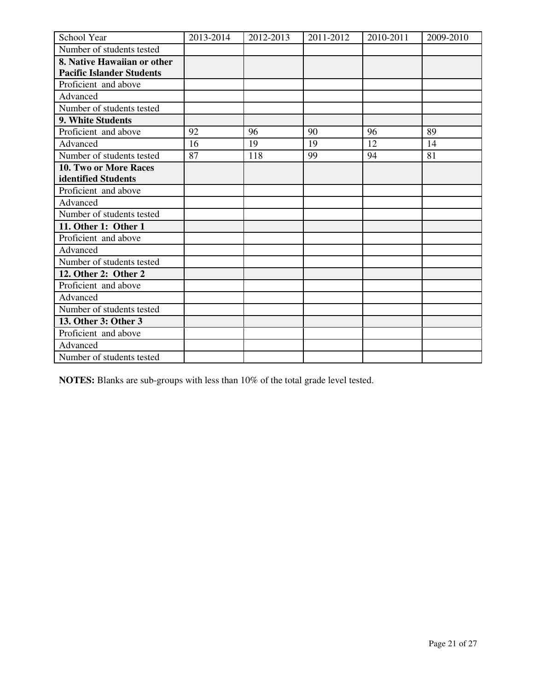| School Year                      | 2013-2014 | 2012-2013 | 2011-2012 | 2010-2011 | 2009-2010 |
|----------------------------------|-----------|-----------|-----------|-----------|-----------|
| Number of students tested        |           |           |           |           |           |
| 8. Native Hawaiian or other      |           |           |           |           |           |
| <b>Pacific Islander Students</b> |           |           |           |           |           |
| Proficient and above             |           |           |           |           |           |
| Advanced                         |           |           |           |           |           |
| Number of students tested        |           |           |           |           |           |
| 9. White Students                |           |           |           |           |           |
| Proficient and above             | 92        | 96        | 90        | 96        | 89        |
| Advanced                         | 16        | 19        | 19        | 12        | 14        |
| Number of students tested        | 87        | 118       | 99        | 94        | 81        |
| <b>10. Two or More Races</b>     |           |           |           |           |           |
| identified Students              |           |           |           |           |           |
| Proficient and above             |           |           |           |           |           |
| Advanced                         |           |           |           |           |           |
| Number of students tested        |           |           |           |           |           |
| 11. Other 1: Other 1             |           |           |           |           |           |
| Proficient and above             |           |           |           |           |           |
| Advanced                         |           |           |           |           |           |
| Number of students tested        |           |           |           |           |           |
| 12. Other 2: Other 2             |           |           |           |           |           |
| Proficient and above             |           |           |           |           |           |
| Advanced                         |           |           |           |           |           |
| Number of students tested        |           |           |           |           |           |
| 13. Other 3: Other 3             |           |           |           |           |           |
| Proficient and above             |           |           |           |           |           |
| Advanced                         |           |           |           |           |           |
| Number of students tested        |           |           |           |           |           |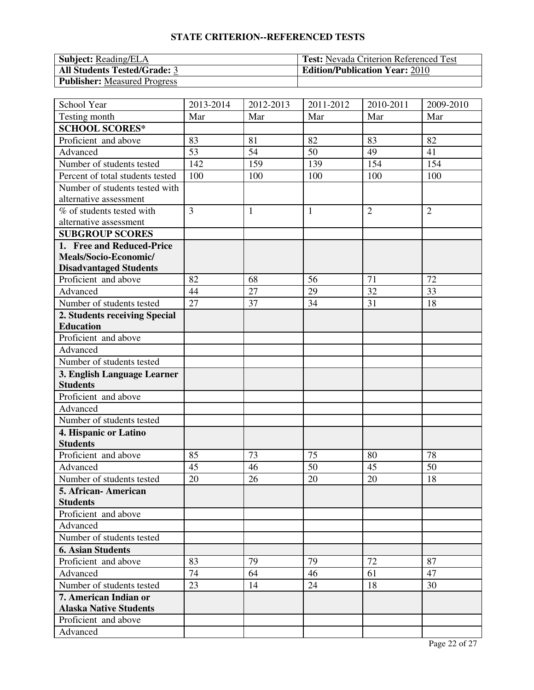| <b>Subject:</b> Reading/ELA         | <b>Test:</b> Nevada Criterion Referenced Test |
|-------------------------------------|-----------------------------------------------|
| <b>All Students Tested/Grade: 3</b> | <b>Edition/Publication Year: 2010</b>         |
| <b>Publisher:</b> Measured Progress |                                               |

| School Year                      | 2013-2014      | 2012-2013    | 2011-2012    | 2010-2011      | 2009-2010      |
|----------------------------------|----------------|--------------|--------------|----------------|----------------|
| Testing month                    | Mar            | Mar          | Mar          | Mar            | Mar            |
| <b>SCHOOL SCORES*</b>            |                |              |              |                |                |
| Proficient and above             | 83             | 81           | 82           | 83             | 82             |
| Advanced                         | 53             | 54           | 50           | 49             | 41             |
| Number of students tested        | 142            | 159          | 139          | 154            | 154            |
| Percent of total students tested | 100            | 100          | 100          | 100            | 100            |
| Number of students tested with   |                |              |              |                |                |
| alternative assessment           |                |              |              |                |                |
| % of students tested with        | $\overline{3}$ | $\mathbf{1}$ | $\mathbf{1}$ | $\overline{2}$ | $\overline{2}$ |
| alternative assessment           |                |              |              |                |                |
| <b>SUBGROUP SCORES</b>           |                |              |              |                |                |
| 1. Free and Reduced-Price        |                |              |              |                |                |
| Meals/Socio-Economic/            |                |              |              |                |                |
| <b>Disadvantaged Students</b>    |                |              |              |                |                |
| Proficient and above             | 82             | 68           | 56           | 71             | 72             |
| Advanced                         | 44             | 27           | 29           | 32             | 33             |
| Number of students tested        | 27             | 37           | 34           | 31             | 18             |
| 2. Students receiving Special    |                |              |              |                |                |
| <b>Education</b>                 |                |              |              |                |                |
| Proficient and above             |                |              |              |                |                |
| Advanced                         |                |              |              |                |                |
| Number of students tested        |                |              |              |                |                |
| 3. English Language Learner      |                |              |              |                |                |
| <b>Students</b>                  |                |              |              |                |                |
| Proficient and above             |                |              |              |                |                |
| Advanced                         |                |              |              |                |                |
| Number of students tested        |                |              |              |                |                |
| 4. Hispanic or Latino            |                |              |              |                |                |
| <b>Students</b>                  |                |              |              |                |                |
| Proficient and above             | 85             | 73           | 75           | 80             | 78             |
| Advanced                         | 45             | 46           | 50           | 45             | 50             |
| Number of students tested        | 20             | 26           | 20           | 20             | 18             |
| 5. African- American             |                |              |              |                |                |
| <b>Students</b>                  |                |              |              |                |                |
| Proficient and above             |                |              |              |                |                |
| Advanced                         |                |              |              |                |                |
| Number of students tested        |                |              |              |                |                |
| <b>6. Asian Students</b>         |                |              |              |                |                |
| Proficient and above             | 83             | 79           | 79           | 72             | 87             |
| Advanced                         | 74             | 64           | 46           | 61             | 47             |
| Number of students tested        | 23             | 14           | 24           | 18             | 30             |
| 7. American Indian or            |                |              |              |                |                |
| <b>Alaska Native Students</b>    |                |              |              |                |                |
| Proficient and above             |                |              |              |                |                |
| Advanced                         |                |              |              |                |                |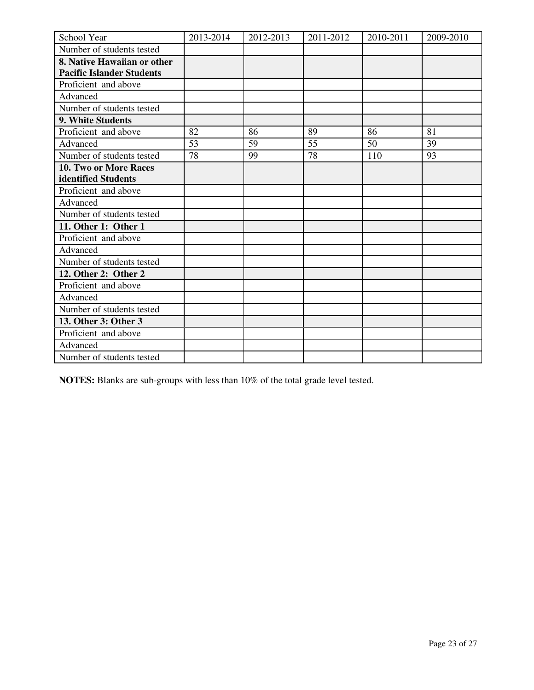| School Year                      | 2013-2014 | 2012-2013 | 2011-2012 | 2010-2011 | 2009-2010 |
|----------------------------------|-----------|-----------|-----------|-----------|-----------|
| Number of students tested        |           |           |           |           |           |
| 8. Native Hawaiian or other      |           |           |           |           |           |
| <b>Pacific Islander Students</b> |           |           |           |           |           |
| Proficient and above             |           |           |           |           |           |
| Advanced                         |           |           |           |           |           |
| Number of students tested        |           |           |           |           |           |
| 9. White Students                |           |           |           |           |           |
| Proficient and above             | 82        | 86        | 89        | 86        | 81        |
| Advanced                         | 53        | 59        | 55        | 50        | 39        |
| Number of students tested        | 78        | 99        | 78        | 110       | 93        |
| <b>10. Two or More Races</b>     |           |           |           |           |           |
| identified Students              |           |           |           |           |           |
| Proficient and above             |           |           |           |           |           |
| Advanced                         |           |           |           |           |           |
| Number of students tested        |           |           |           |           |           |
| 11. Other 1: Other 1             |           |           |           |           |           |
| Proficient and above             |           |           |           |           |           |
| Advanced                         |           |           |           |           |           |
| Number of students tested        |           |           |           |           |           |
| 12. Other 2: Other 2             |           |           |           |           |           |
| Proficient and above             |           |           |           |           |           |
| Advanced                         |           |           |           |           |           |
| Number of students tested        |           |           |           |           |           |
| 13. Other 3: Other 3             |           |           |           |           |           |
| Proficient and above             |           |           |           |           |           |
| Advanced                         |           |           |           |           |           |
| Number of students tested        |           |           |           |           |           |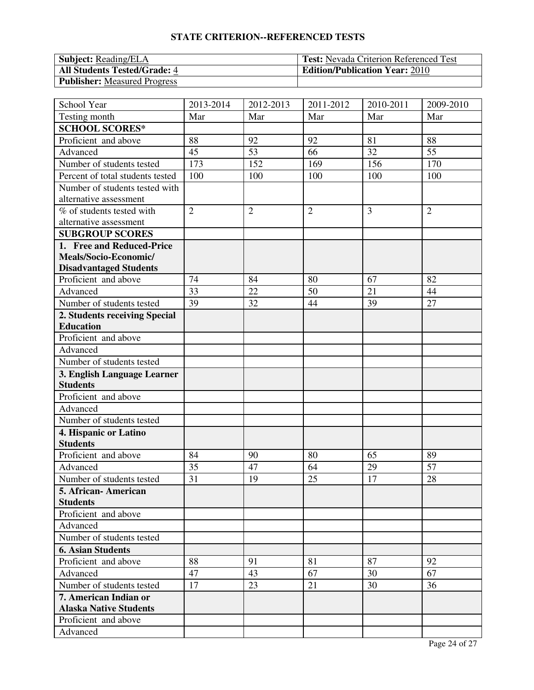| <b>Subject:</b> Reading/ELA         | <b>Test:</b> Nevada Criterion Referenced Test |
|-------------------------------------|-----------------------------------------------|
| <b>All Students Tested/Grade: 4</b> | <b>Edition/Publication Year: 2010</b>         |
| <b>Publisher:</b> Measured Progress |                                               |

| School Year                      | 2013-2014      | 2012-2013      | 2011-2012      | 2010-2011      | 2009-2010      |
|----------------------------------|----------------|----------------|----------------|----------------|----------------|
| Testing month                    | Mar            | Mar            | Mar            | Mar            | Mar            |
| <b>SCHOOL SCORES*</b>            |                |                |                |                |                |
| Proficient and above             | 88             | 92             | 92             | 81             | 88             |
| Advanced                         | 45             | 53             | 66             | 32             | 55             |
| Number of students tested        | 173            | 152            | 169            | 156            | 170            |
| Percent of total students tested | 100            | 100            | 100            | 100            | 100            |
| Number of students tested with   |                |                |                |                |                |
| alternative assessment           |                |                |                |                |                |
| % of students tested with        | $\overline{2}$ | $\overline{2}$ | $\overline{2}$ | $\overline{3}$ | $\overline{2}$ |
| alternative assessment           |                |                |                |                |                |
| <b>SUBGROUP SCORES</b>           |                |                |                |                |                |
| 1. Free and Reduced-Price        |                |                |                |                |                |
| Meals/Socio-Economic/            |                |                |                |                |                |
| <b>Disadvantaged Students</b>    |                |                |                |                |                |
| Proficient and above             | 74             | 84             | 80             | 67             | 82             |
| Advanced                         | 33             | 22             | 50             | 21             | 44             |
| Number of students tested        | 39             | 32             | 44             | 39             | 27             |
| 2. Students receiving Special    |                |                |                |                |                |
| <b>Education</b>                 |                |                |                |                |                |
| Proficient and above             |                |                |                |                |                |
| Advanced                         |                |                |                |                |                |
| Number of students tested        |                |                |                |                |                |
| 3. English Language Learner      |                |                |                |                |                |
| <b>Students</b>                  |                |                |                |                |                |
| Proficient and above             |                |                |                |                |                |
| Advanced                         |                |                |                |                |                |
| Number of students tested        |                |                |                |                |                |
| 4. Hispanic or Latino            |                |                |                |                |                |
| <b>Students</b>                  |                |                |                |                |                |
| Proficient and above             | 84             | 90             | 80             | 65             | 89             |
| Advanced                         | 35             | 47             | 64             | 29             | 57             |
| Number of students tested        | 31             | 19             | 25             | 17             | 28             |
| 5. African- American             |                |                |                |                |                |
| <b>Students</b>                  |                |                |                |                |                |
| Proficient and above             |                |                |                |                |                |
| Advanced                         |                |                |                |                |                |
| Number of students tested        |                |                |                |                |                |
| <b>6. Asian Students</b>         |                |                |                |                |                |
| Proficient and above             | 88             | 91             | 81             | 87             | 92             |
| Advanced                         | 47             | 43             | 67             | 30             | 67             |
| Number of students tested        | 17             | 23             | 21             | 30             | 36             |
| 7. American Indian or            |                |                |                |                |                |
| <b>Alaska Native Students</b>    |                |                |                |                |                |
| Proficient and above             |                |                |                |                |                |
| Advanced                         |                |                |                |                |                |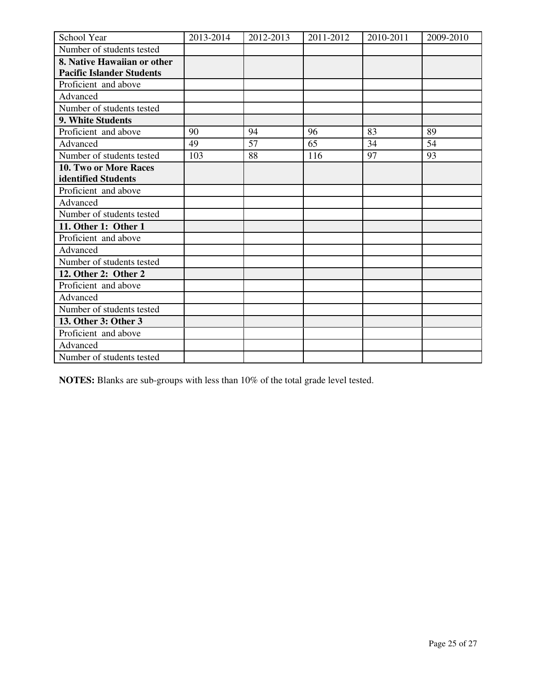| School Year                      | 2013-2014 | 2012-2013 | 2011-2012 | 2010-2011 | 2009-2010 |
|----------------------------------|-----------|-----------|-----------|-----------|-----------|
| Number of students tested        |           |           |           |           |           |
| 8. Native Hawaiian or other      |           |           |           |           |           |
| <b>Pacific Islander Students</b> |           |           |           |           |           |
| Proficient and above             |           |           |           |           |           |
| Advanced                         |           |           |           |           |           |
| Number of students tested        |           |           |           |           |           |
| 9. White Students                |           |           |           |           |           |
| Proficient and above             | 90        | 94        | 96        | 83        | 89        |
| Advanced                         | 49        | 57        | 65        | 34        | 54        |
| Number of students tested        | 103       | 88        | 116       | 97        | 93        |
| 10. Two or More Races            |           |           |           |           |           |
| identified Students              |           |           |           |           |           |
| Proficient and above             |           |           |           |           |           |
| Advanced                         |           |           |           |           |           |
| Number of students tested        |           |           |           |           |           |
| 11. Other 1: Other 1             |           |           |           |           |           |
| Proficient and above             |           |           |           |           |           |
| Advanced                         |           |           |           |           |           |
| Number of students tested        |           |           |           |           |           |
| 12. Other 2: Other 2             |           |           |           |           |           |
| Proficient and above             |           |           |           |           |           |
| Advanced                         |           |           |           |           |           |
| Number of students tested        |           |           |           |           |           |
| 13. Other 3: Other 3             |           |           |           |           |           |
| Proficient and above             |           |           |           |           |           |
| Advanced                         |           |           |           |           |           |
| Number of students tested        |           |           |           |           |           |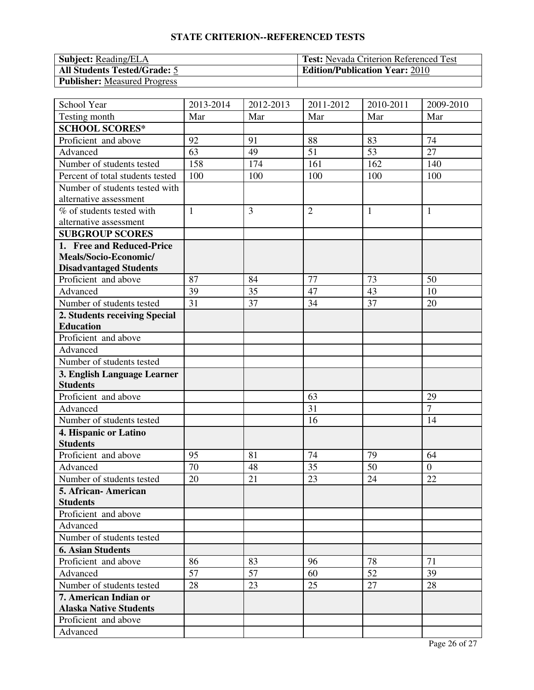| <b>Subject:</b> Reading/ELA         | <b>Test:</b> Nevada Criterion Referenced Test |
|-------------------------------------|-----------------------------------------------|
| <b>All Students Tested/Grade: 5</b> | <b>Edition/Publication Year: 2010</b>         |
| <b>Publisher:</b> Measured Progress |                                               |

| School Year                      | 2013-2014    | 2012-2013 | 2011-2012      | 2010-2011    | 2009-2010      |
|----------------------------------|--------------|-----------|----------------|--------------|----------------|
| Testing month                    | Mar          | Mar       | Mar            | Mar          | Mar            |
| <b>SCHOOL SCORES*</b>            |              |           |                |              |                |
| Proficient and above             | 92           | 91        | 88             | 83           | 74             |
| Advanced                         | 63           | 49        | 51             | 53           | 27             |
| Number of students tested        | 158          | 174       | 161            | 162          | 140            |
| Percent of total students tested | 100          | 100       | 100            | 100          | 100            |
| Number of students tested with   |              |           |                |              |                |
| alternative assessment           |              |           |                |              |                |
| % of students tested with        | $\mathbf{1}$ | 3         | $\overline{2}$ | $\mathbf{1}$ | $\mathbf{1}$   |
| alternative assessment           |              |           |                |              |                |
| <b>SUBGROUP SCORES</b>           |              |           |                |              |                |
| 1. Free and Reduced-Price        |              |           |                |              |                |
| Meals/Socio-Economic/            |              |           |                |              |                |
| <b>Disadvantaged Students</b>    |              |           |                |              |                |
| Proficient and above             | 87           | 84        | 77             | 73           | 50             |
| Advanced                         | 39           | 35        | 47             | 43           | 10             |
| Number of students tested        | 31           | 37        | 34             | 37           | 20             |
| 2. Students receiving Special    |              |           |                |              |                |
| <b>Education</b>                 |              |           |                |              |                |
| Proficient and above             |              |           |                |              |                |
| Advanced                         |              |           |                |              |                |
| Number of students tested        |              |           |                |              |                |
| 3. English Language Learner      |              |           |                |              |                |
| <b>Students</b>                  |              |           |                |              |                |
| Proficient and above             |              |           | 63             |              | 29             |
| Advanced                         |              |           | 31             |              | $\overline{7}$ |
| Number of students tested        |              |           | 16             |              | 14             |
| 4. Hispanic or Latino            |              |           |                |              |                |
| <b>Students</b>                  |              |           |                |              |                |
| Proficient and above             | 95           | 81        | 74             | 79           | 64             |
| Advanced                         | 70           | 48        | 35             | 50           | $\theta$       |
| Number of students tested        | 20           | 21        | 23             | 24           | 22             |
| 5. African- American             |              |           |                |              |                |
| <b>Students</b>                  |              |           |                |              |                |
| Proficient and above             |              |           |                |              |                |
| Advanced                         |              |           |                |              |                |
| Number of students tested        |              |           |                |              |                |
| <b>6. Asian Students</b>         |              |           |                |              |                |
| Proficient and above             | 86           | 83        | 96             | 78           | 71             |
| Advanced                         | 57           | 57        | 60             | 52           | 39             |
| Number of students tested        | 28           | 23        | 25             | 27           | 28             |
| 7. American Indian or            |              |           |                |              |                |
| <b>Alaska Native Students</b>    |              |           |                |              |                |
| Proficient and above             |              |           |                |              |                |
| Advanced                         |              |           |                |              |                |